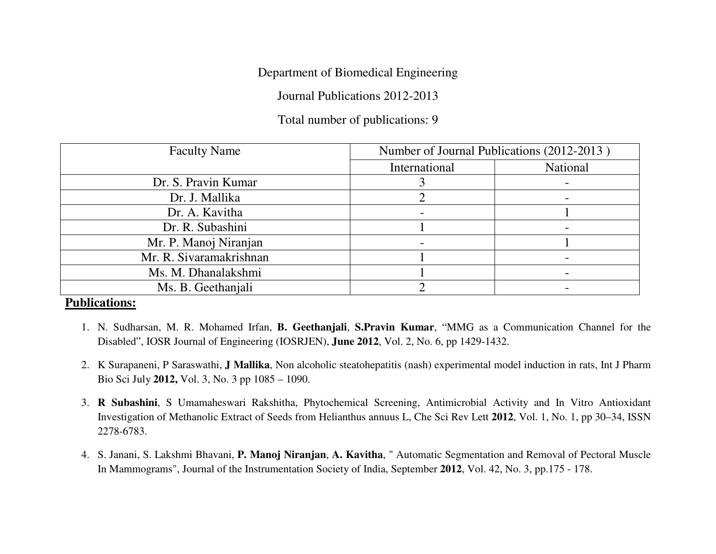## Department of Biomedical Engineering

Journal Publications 2012-2013

## Total number of publications: 9

| <b>Faculty Name</b>     | Number of Journal Publications (2012-2013) |          |
|-------------------------|--------------------------------------------|----------|
|                         | International                              | National |
| Dr. S. Pravin Kumar     |                                            |          |
| Dr. J. Mallika          |                                            |          |
| Dr. A. Kavitha          |                                            |          |
| Dr. R. Subashini        |                                            |          |
| Mr. P. Manoj Niranjan   |                                            |          |
| Mr. R. Sivaramakrishnan |                                            |          |
| Ms. M. Dhanalakshmi     |                                            |          |
| Ms. B. Geethaniali      |                                            |          |

## **Publications:**

- 1. N. Sudharsan, M. R. Mohamed Irfan, **B. Geethanjali**, **S.Pravin Kumar**, "MMG as a Communication Channel for the Disabled", IOSR Journal of Engineering (IOSRJEN), **June 2012**, Vol. 2, No. 6, pp 1429-1432.
- 2. K Surapaneni, P Saraswathi, **J Mallika**, Non alcoholic steatohepatitis (nash) experimental model induction in rats, Int J Pharm Bio Sci July **2012,** Vol. 3, No. 3 pp 1085 – 1090.
- 3. **R Subashini**, S Umamaheswari Rakshitha, Phytochemical Screening, Antimicrobial Activity and In Vitro Antioxidant Investigation of Methanolic Extract of Seeds from Helianthus annuus L, Che Sci Rev Lett **2012**, Vol. 1, No. 1, pp 30–34, ISSN 2278-6783.
- 4. S. Janani, S. Lakshmi Bhavani, **P. Manoj Niranjan**, **A. Kavitha**, " Automatic Segmentation and Removal of Pectoral Muscle In Mammograms", Journal of the Instrumentation Society of India, September **2012**, Vol. 42, No. 3, pp.175 - 178.